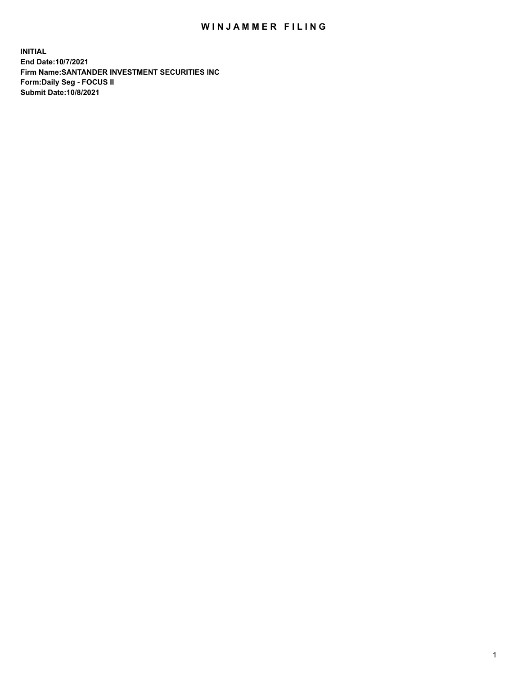## WIN JAMMER FILING

**INITIAL End Date:10/7/2021 Firm Name:SANTANDER INVESTMENT SECURITIES INC Form:Daily Seg - FOCUS II Submit Date:10/8/2021**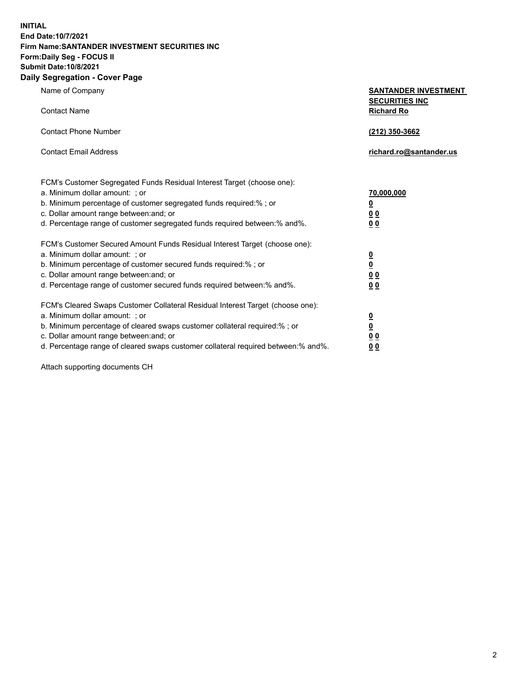**INITIAL End Date:10/7/2021 Firm Name:SANTANDER INVESTMENT SECURITIES INC Form:Daily Seg - FOCUS II Submit Date:10/8/2021 Daily Segregation - Cover Page**

| $0091090001 - 00101 + 090$                                                        |                                                      |  |  |  |  |
|-----------------------------------------------------------------------------------|------------------------------------------------------|--|--|--|--|
| Name of Company                                                                   | <b>SANTANDER INVESTMENT</b><br><b>SECURITIES INC</b> |  |  |  |  |
| <b>Contact Name</b>                                                               | <b>Richard Ro</b>                                    |  |  |  |  |
| <b>Contact Phone Number</b>                                                       | (212) 350-3662                                       |  |  |  |  |
| <b>Contact Email Address</b>                                                      | richard.ro@santander.us                              |  |  |  |  |
| FCM's Customer Segregated Funds Residual Interest Target (choose one):            |                                                      |  |  |  |  |
| a. Minimum dollar amount: ; or                                                    | 70,000,000                                           |  |  |  |  |
| b. Minimum percentage of customer segregated funds required:%; or                 | $\overline{\mathbf{0}}$                              |  |  |  |  |
| c. Dollar amount range between: and; or                                           | 0 <sub>0</sub>                                       |  |  |  |  |
| d. Percentage range of customer segregated funds required between:% and%.         | 0 <sub>0</sub>                                       |  |  |  |  |
| FCM's Customer Secured Amount Funds Residual Interest Target (choose one):        |                                                      |  |  |  |  |
| a. Minimum dollar amount: ; or                                                    | $\frac{0}{0}$                                        |  |  |  |  |
| b. Minimum percentage of customer secured funds required:%; or                    |                                                      |  |  |  |  |
| c. Dollar amount range between: and; or                                           | 0 <sub>0</sub>                                       |  |  |  |  |
| d. Percentage range of customer secured funds required between: % and %.          | 0 <sub>0</sub>                                       |  |  |  |  |
| FCM's Cleared Swaps Customer Collateral Residual Interest Target (choose one):    |                                                      |  |  |  |  |
| a. Minimum dollar amount: ; or                                                    | $\frac{0}{0}$                                        |  |  |  |  |
| b. Minimum percentage of cleared swaps customer collateral required:% ; or        |                                                      |  |  |  |  |
| c. Dollar amount range between: and; or                                           | 0 <sub>0</sub>                                       |  |  |  |  |
| d. Percentage range of cleared swaps customer collateral required between:% and%. | 0 <sub>0</sub>                                       |  |  |  |  |

Attach supporting documents CH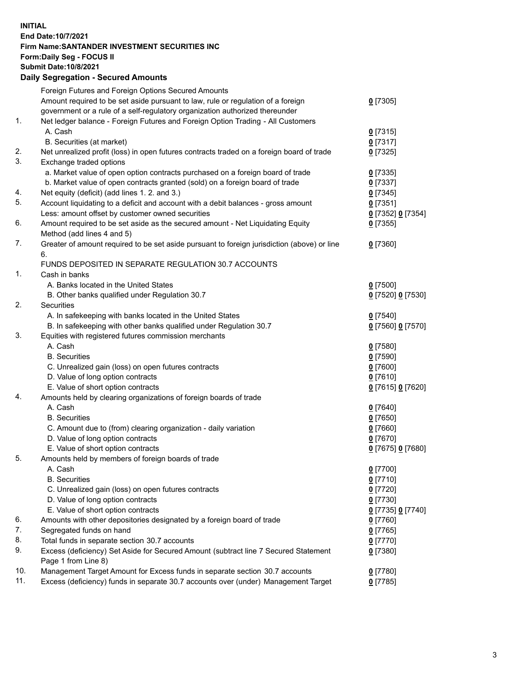**INITIAL End Date:10/7/2021 Firm Name:SANTANDER INVESTMENT SECURITIES INC Form:Daily Seg - FOCUS II Submit Date:10/8/2021 Daily Segregation - Secured Amounts**

|     | Foreign Futures and Foreign Options Secured Amounts                                         |                                 |
|-----|---------------------------------------------------------------------------------------------|---------------------------------|
|     | Amount required to be set aside pursuant to law, rule or regulation of a foreign            | $0$ [7305]                      |
|     | government or a rule of a self-regulatory organization authorized thereunder                |                                 |
| 1.  | Net ledger balance - Foreign Futures and Foreign Option Trading - All Customers             |                                 |
|     | A. Cash                                                                                     | $0$ [7315]                      |
|     | B. Securities (at market)                                                                   | $0$ [7317]                      |
| 2.  | Net unrealized profit (loss) in open futures contracts traded on a foreign board of trade   | $0$ [7325]                      |
| 3.  | Exchange traded options                                                                     |                                 |
|     | a. Market value of open option contracts purchased on a foreign board of trade              | $0$ [7335]                      |
|     | b. Market value of open contracts granted (sold) on a foreign board of trade                | $0$ [7337]                      |
| 4.  | Net equity (deficit) (add lines 1. 2. and 3.)                                               | $0$ [7345]                      |
| 5.  | Account liquidating to a deficit and account with a debit balances - gross amount           | $0$ [7351]                      |
|     | Less: amount offset by customer owned securities                                            | 0 [7352] 0 [7354]               |
| 6.  | Amount required to be set aside as the secured amount - Net Liquidating Equity              | $0$ [7355]                      |
|     | Method (add lines 4 and 5)                                                                  |                                 |
| 7.  | Greater of amount required to be set aside pursuant to foreign jurisdiction (above) or line | $0$ [7360]                      |
|     | 6.                                                                                          |                                 |
|     | FUNDS DEPOSITED IN SEPARATE REGULATION 30.7 ACCOUNTS                                        |                                 |
| 1.  | Cash in banks                                                                               |                                 |
|     | A. Banks located in the United States                                                       | $0$ [7500]                      |
|     | B. Other banks qualified under Regulation 30.7                                              | 0 [7520] 0 [7530]               |
| 2.  | Securities                                                                                  |                                 |
|     | A. In safekeeping with banks located in the United States                                   | $0$ [7540]                      |
|     | B. In safekeeping with other banks qualified under Regulation 30.7                          | 0 [7560] 0 [7570]               |
| 3.  | Equities with registered futures commission merchants                                       |                                 |
|     | A. Cash                                                                                     | $0$ [7580]                      |
|     | <b>B.</b> Securities                                                                        | $0$ [7590]                      |
|     | C. Unrealized gain (loss) on open futures contracts                                         | $0$ [7600]                      |
|     | D. Value of long option contracts                                                           | $0$ [7610]                      |
|     | E. Value of short option contracts                                                          | 0 [7615] 0 [7620]               |
| 4.  | Amounts held by clearing organizations of foreign boards of trade                           |                                 |
|     | A. Cash                                                                                     | $0$ [7640]                      |
|     | <b>B.</b> Securities                                                                        | $0$ [7650]                      |
|     | C. Amount due to (from) clearing organization - daily variation                             | $0$ [7660]                      |
|     | D. Value of long option contracts                                                           | $0$ [7670]                      |
| 5.  | E. Value of short option contracts                                                          | 0 [7675] 0 [7680]               |
|     | Amounts held by members of foreign boards of trade<br>A. Cash                               |                                 |
|     |                                                                                             | 0 [7700]<br>$0$ [7710]          |
|     | <b>B.</b> Securities                                                                        |                                 |
|     | C. Unrealized gain (loss) on open futures contracts<br>D. Value of long option contracts    | $0$ [7720]<br>$0$ [7730]        |
|     | E. Value of short option contracts                                                          |                                 |
| 6.  | Amounts with other depositories designated by a foreign board of trade                      | 0 [7735] 0 [7740]<br>$0$ [7760] |
| 7.  | Segregated funds on hand                                                                    | $0$ [7765]                      |
| 8.  | Total funds in separate section 30.7 accounts                                               | $0$ [7770]                      |
| 9.  | Excess (deficiency) Set Aside for Secured Amount (subtract line 7 Secured Statement         | $0$ [7380]                      |
|     | Page 1 from Line 8)                                                                         |                                 |
| 10. | Management Target Amount for Excess funds in separate section 30.7 accounts                 | $0$ [7780]                      |
| 11. | Excess (deficiency) funds in separate 30.7 accounts over (under) Management Target          | $0$ [7785]                      |
|     |                                                                                             |                                 |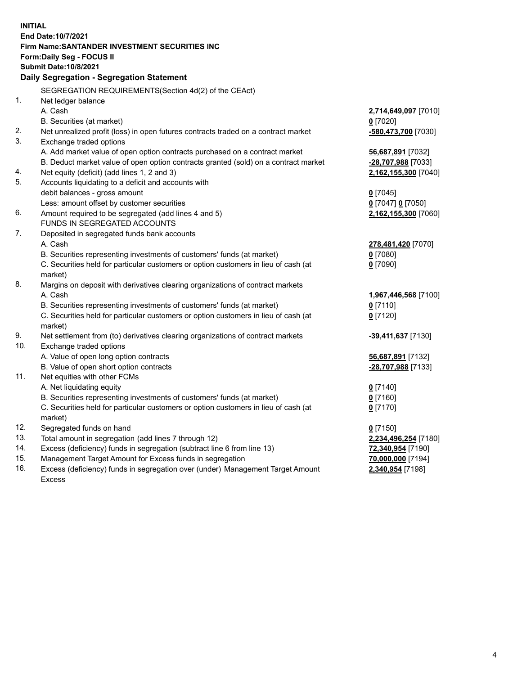| <b>INITIAL</b> |                                                                                     |                      |
|----------------|-------------------------------------------------------------------------------------|----------------------|
|                | End Date: 10/7/2021                                                                 |                      |
|                | Firm Name: SANTANDER INVESTMENT SECURITIES INC                                      |                      |
|                | Form: Daily Seg - FOCUS II                                                          |                      |
|                | <b>Submit Date: 10/8/2021</b>                                                       |                      |
|                | Daily Segregation - Segregation Statement                                           |                      |
|                | SEGREGATION REQUIREMENTS(Section 4d(2) of the CEAct)                                |                      |
| 1.             | Net ledger balance                                                                  |                      |
|                | A. Cash                                                                             | 2,714,649,097 [7010] |
|                | B. Securities (at market)                                                           | $0$ [7020]           |
| 2.             | Net unrealized profit (loss) in open futures contracts traded on a contract market  | -580,473,700 [7030]  |
| 3.             | Exchange traded options                                                             |                      |
|                | A. Add market value of open option contracts purchased on a contract market         | 56,687,891 [7032]    |
|                | B. Deduct market value of open option contracts granted (sold) on a contract market | -28,707,988 [7033]   |
| 4.             | Net equity (deficit) (add lines 1, 2 and 3)                                         | 2,162,155,300 [7040] |
| 5.             | Accounts liquidating to a deficit and accounts with                                 |                      |
|                | debit balances - gross amount                                                       | $0$ [7045]           |
|                | Less: amount offset by customer securities                                          | 0 [7047] 0 [7050]    |
| 6.             | Amount required to be segregated (add lines 4 and 5)                                | 2,162,155,300 [7060] |
|                | FUNDS IN SEGREGATED ACCOUNTS                                                        |                      |
| 7.             | Deposited in segregated funds bank accounts                                         |                      |
|                | A. Cash                                                                             | 278,481,420 [7070]   |
|                | B. Securities representing investments of customers' funds (at market)              | $0$ [7080]           |
|                | C. Securities held for particular customers or option customers in lieu of cash (at | $0$ [7090]           |
|                | market)                                                                             |                      |
| 8.             | Margins on deposit with derivatives clearing organizations of contract markets      |                      |
|                | A. Cash                                                                             | 1,967,446,568 [7100] |
|                | B. Securities representing investments of customers' funds (at market)              | $0$ [7110]           |
|                | C. Securities held for particular customers or option customers in lieu of cash (at | $0$ [7120]           |
| 9.             | market)                                                                             |                      |
| 10.            | Net settlement from (to) derivatives clearing organizations of contract markets     | -39,411,637 [7130]   |
|                | Exchange traded options<br>A. Value of open long option contracts                   | 56,687,891 [7132]    |
|                | B. Value of open short option contracts                                             | -28,707,988 [7133]   |
| 11.            | Net equities with other FCMs                                                        |                      |
|                | A. Net liquidating equity                                                           | $0$ [7140]           |
|                | B. Securities representing investments of customers' funds (at market)              | $0$ [7160]           |
|                | C. Securities held for particular customers or option customers in lieu of cash (at | $0$ [7170]           |
|                | market)                                                                             |                      |
| 12.            | Segregated funds on hand                                                            | $0$ [7150]           |
| 13.            | Total amount in segregation (add lines 7 through 12)                                | 2,234,496,254 [7180] |
| 14.            | Excess (deficiency) funds in segregation (subtract line 6 from line 13)             | 72,340,954 [7190]    |
| 15.            | Management Target Amount for Excess funds in segregation                            | 70,000,000 [7194]    |
| 16.            | Excess (deficiency) funds in segregation over (under) Management Target Amount      | 2,340,954 [7198]     |
|                | Excess                                                                              |                      |